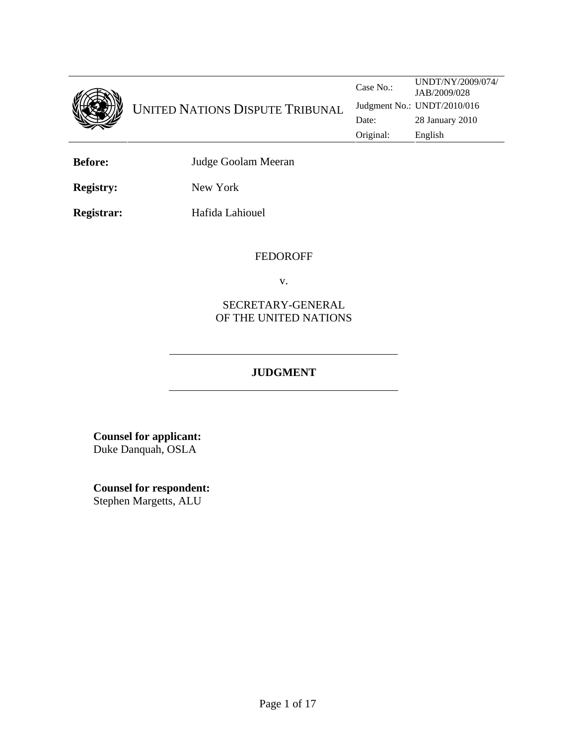

UNITED NATIONS DISPUTE TRIBUNAL

Case No.: UNDT/NY/2009/074/ JAB/2009/028 Judgment No.: UNDT/2010/016 Date: 28 January 2010 Original: English

**Before:** Judge Goolam Meeran

**Registry:** New York

**Registrar:** Hafida Lahiouel

### FEDOROFF

v.

SECRETARY-GENERAL OF THE UNITED NATIONS

# **JUDGMENT**

**Counsel for applicant:**  Duke Danquah, OSLA

**Counsel for respondent:** Stephen Margetts, ALU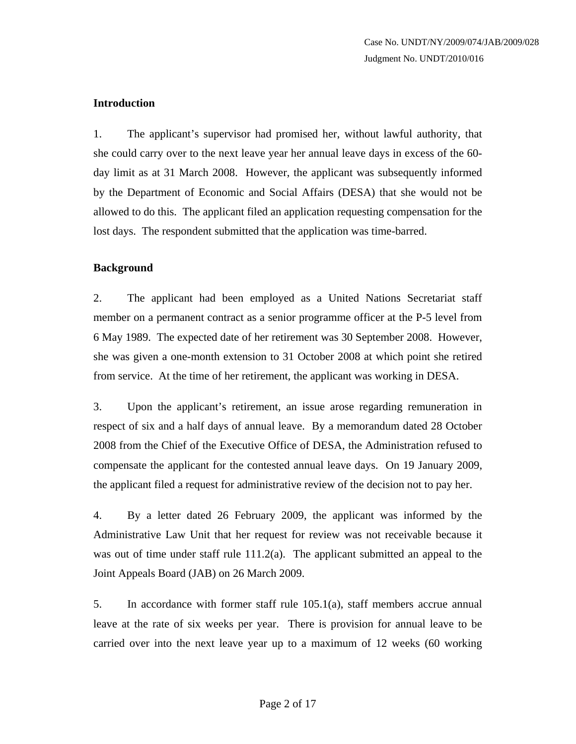### **Introduction**

1. The applicant's supervisor had promised her, without lawful authority, that she could carry over to the next leave year her annual leave days in excess of the 60 day limit as at 31 March 2008. However, the applicant was subsequently informed by the Department of Economic and Social Affairs (DESA) that she would not be allowed to do this. The applicant filed an application requesting compensation for the lost days. The respondent submitted that the application was time-barred.

### **Background**

2. The applicant had been employed as a United Nations Secretariat staff member on a permanent contract as a senior programme officer at the P-5 level from 6 May 1989. The expected date of her retirement was 30 September 2008. However, she was given a one-month extension to 31 October 2008 at which point she retired from service. At the time of her retirement, the applicant was working in DESA.

3. Upon the applicant's retirement, an issue arose regarding remuneration in respect of six and a half days of annual leave. By a memorandum dated 28 October 2008 from the Chief of the Executive Office of DESA, the Administration refused to compensate the applicant for the contested annual leave days. On 19 January 2009, the applicant filed a request for administrative review of the decision not to pay her.

4. By a letter dated 26 February 2009, the applicant was informed by the Administrative Law Unit that her request for review was not receivable because it was out of time under staff rule 111.2(a). The applicant submitted an appeal to the Joint Appeals Board (JAB) on 26 March 2009.

5. In accordance with former staff rule 105.1(a), staff members accrue annual leave at the rate of six weeks per year. There is provision for annual leave to be carried over into the next leave year up to a maximum of 12 weeks (60 working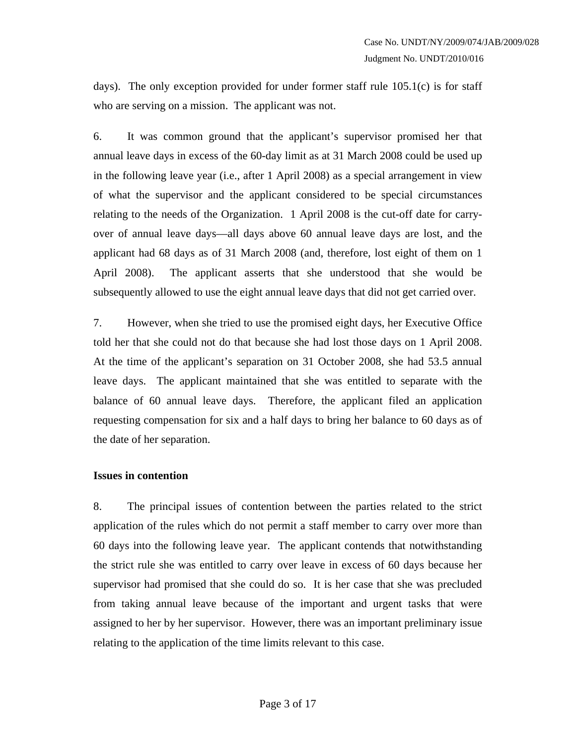days). The only exception provided for under former staff rule 105.1(c) is for staff who are serving on a mission. The applicant was not.

6. It was common ground that the applicant's supervisor promised her that annual leave days in excess of the 60-day limit as at 31 March 2008 could be used up in the following leave year (i.e., after 1 April 2008) as a special arrangement in view of what the supervisor and the applicant considered to be special circumstances relating to the needs of the Organization. 1 April 2008 is the cut-off date for carryover of annual leave days—all days above 60 annual leave days are lost, and the applicant had 68 days as of 31 March 2008 (and, therefore, lost eight of them on 1 April 2008). The applicant asserts that she understood that she would be subsequently allowed to use the eight annual leave days that did not get carried over.

7. However, when she tried to use the promised eight days, her Executive Office told her that she could not do that because she had lost those days on 1 April 2008. At the time of the applicant's separation on 31 October 2008, she had 53.5 annual leave days. The applicant maintained that she was entitled to separate with the balance of 60 annual leave days. Therefore, the applicant filed an application requesting compensation for six and a half days to bring her balance to 60 days as of the date of her separation.

#### **Issues in contention**

8. The principal issues of contention between the parties related to the strict application of the rules which do not permit a staff member to carry over more than 60 days into the following leave year. The applicant contends that notwithstanding the strict rule she was entitled to carry over leave in excess of 60 days because her supervisor had promised that she could do so. It is her case that she was precluded from taking annual leave because of the important and urgent tasks that were assigned to her by her supervisor. However, there was an important preliminary issue relating to the application of the time limits relevant to this case.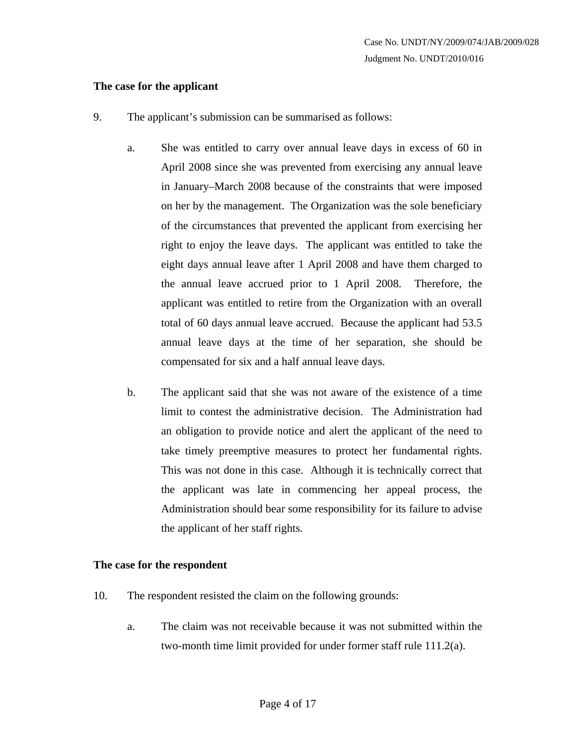#### **The case for the applicant**

- 9. The applicant's submission can be summarised as follows:
	- a. She was entitled to carry over annual leave days in excess of 60 in April 2008 since she was prevented from exercising any annual leave in January–March 2008 because of the constraints that were imposed on her by the management. The Organization was the sole beneficiary of the circumstances that prevented the applicant from exercising her right to enjoy the leave days. The applicant was entitled to take the eight days annual leave after 1 April 2008 and have them charged to the annual leave accrued prior to 1 April 2008. Therefore, the applicant was entitled to retire from the Organization with an overall total of 60 days annual leave accrued. Because the applicant had 53.5 annual leave days at the time of her separation, she should be compensated for six and a half annual leave days.
	- b. The applicant said that she was not aware of the existence of a time limit to contest the administrative decision. The Administration had an obligation to provide notice and alert the applicant of the need to take timely preemptive measures to protect her fundamental rights. This was not done in this case. Although it is technically correct that the applicant was late in commencing her appeal process, the Administration should bear some responsibility for its failure to advise the applicant of her staff rights.

#### **The case for the respondent**

- 10. The respondent resisted the claim on the following grounds:
	- a. The claim was not receivable because it was not submitted within the two-month time limit provided for under former staff rule 111.2(a).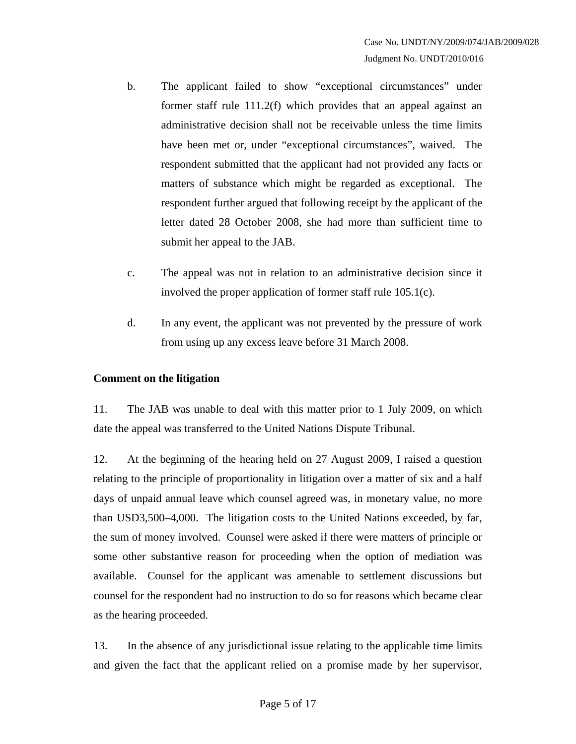- b. The applicant failed to show "exceptional circumstances" under former staff rule 111.2(f) which provides that an appeal against an administrative decision shall not be receivable unless the time limits have been met or, under "exceptional circumstances", waived. The respondent submitted that the applicant had not provided any facts or matters of substance which might be regarded as exceptional. The respondent further argued that following receipt by the applicant of the letter dated 28 October 2008, she had more than sufficient time to submit her appeal to the JAB.
- c. The appeal was not in relation to an administrative decision since it involved the proper application of former staff rule 105.1(c).
- d. In any event, the applicant was not prevented by the pressure of work from using up any excess leave before 31 March 2008.

## **Comment on the litigation**

11. The JAB was unable to deal with this matter prior to 1 July 2009, on which date the appeal was transferred to the United Nations Dispute Tribunal.

12. At the beginning of the hearing held on 27 August 2009, I raised a question relating to the principle of proportionality in litigation over a matter of six and a half days of unpaid annual leave which counsel agreed was, in monetary value, no more than USD3,500–4,000. The litigation costs to the United Nations exceeded, by far, the sum of money involved. Counsel were asked if there were matters of principle or some other substantive reason for proceeding when the option of mediation was available. Counsel for the applicant was amenable to settlement discussions but counsel for the respondent had no instruction to do so for reasons which became clear as the hearing proceeded.

13. In the absence of any jurisdictional issue relating to the applicable time limits and given the fact that the applicant relied on a promise made by her supervisor,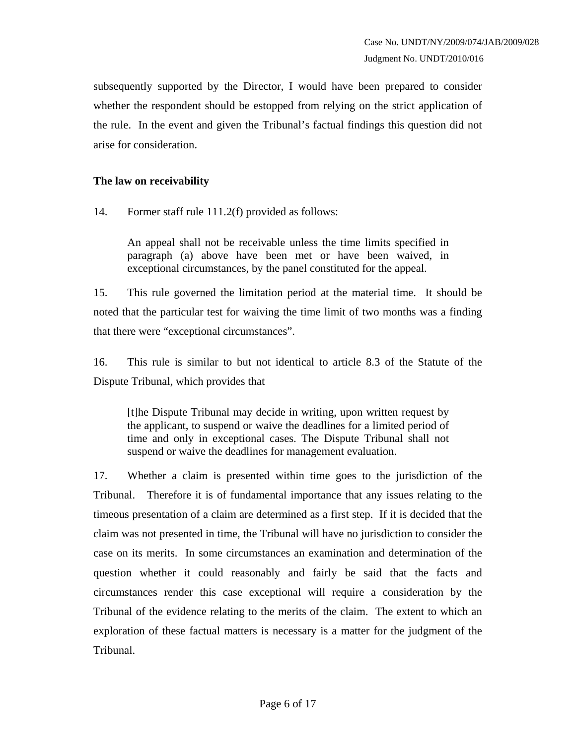subsequently supported by the Director, I would have been prepared to consider whether the respondent should be estopped from relying on the strict application of the rule. In the event and given the Tribunal's factual findings this question did not arise for consideration.

#### **The law on receivability**

14. Former staff rule 111.2(f) provided as follows:

An appeal shall not be receivable unless the time limits specified in paragraph (a) above have been met or have been waived, in exceptional circumstances, by the panel constituted for the appeal.

15. This rule governed the limitation period at the material time. It should be noted that the particular test for waiving the time limit of two months was a finding that there were "exceptional circumstances".

16. This rule is similar to but not identical to article 8.3 of the Statute of the Dispute Tribunal, which provides that

[t]he Dispute Tribunal may decide in writing, upon written request by the applicant, to suspend or waive the deadlines for a limited period of time and only in exceptional cases. The Dispute Tribunal shall not suspend or waive the deadlines for management evaluation.

17. Whether a claim is presented within time goes to the jurisdiction of the Tribunal. Therefore it is of fundamental importance that any issues relating to the timeous presentation of a claim are determined as a first step. If it is decided that the claim was not presented in time, the Tribunal will have no jurisdiction to consider the case on its merits. In some circumstances an examination and determination of the question whether it could reasonably and fairly be said that the facts and circumstances render this case exceptional will require a consideration by the Tribunal of the evidence relating to the merits of the claim. The extent to which an exploration of these factual matters is necessary is a matter for the judgment of the Tribunal.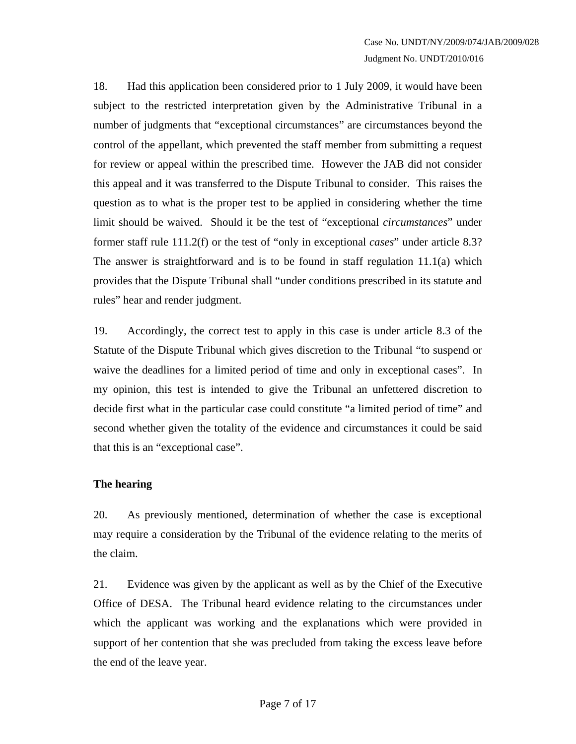18. Had this application been considered prior to 1 July 2009, it would have been subject to the restricted interpretation given by the Administrative Tribunal in a number of judgments that "exceptional circumstances" are circumstances beyond the control of the appellant, which prevented the staff member from submitting a request for review or appeal within the prescribed time. However the JAB did not consider this appeal and it was transferred to the Dispute Tribunal to consider. This raises the question as to what is the proper test to be applied in considering whether the time limit should be waived. Should it be the test of "exceptional *circumstances*" under former staff rule 111.2(f) or the test of "only in exceptional *cases*" under article 8.3? The answer is straightforward and is to be found in staff regulation  $11.1(a)$  which provides that the Dispute Tribunal shall "under conditions prescribed in its statute and rules" hear and render judgment.

19. Accordingly, the correct test to apply in this case is under article 8.3 of the Statute of the Dispute Tribunal which gives discretion to the Tribunal "to suspend or waive the deadlines for a limited period of time and only in exceptional cases". In my opinion, this test is intended to give the Tribunal an unfettered discretion to decide first what in the particular case could constitute "a limited period of time" and second whether given the totality of the evidence and circumstances it could be said that this is an "exceptional case".

#### **The hearing**

20. As previously mentioned, determination of whether the case is exceptional may require a consideration by the Tribunal of the evidence relating to the merits of the claim.

21. Evidence was given by the applicant as well as by the Chief of the Executive Office of DESA. The Tribunal heard evidence relating to the circumstances under which the applicant was working and the explanations which were provided in support of her contention that she was precluded from taking the excess leave before the end of the leave year.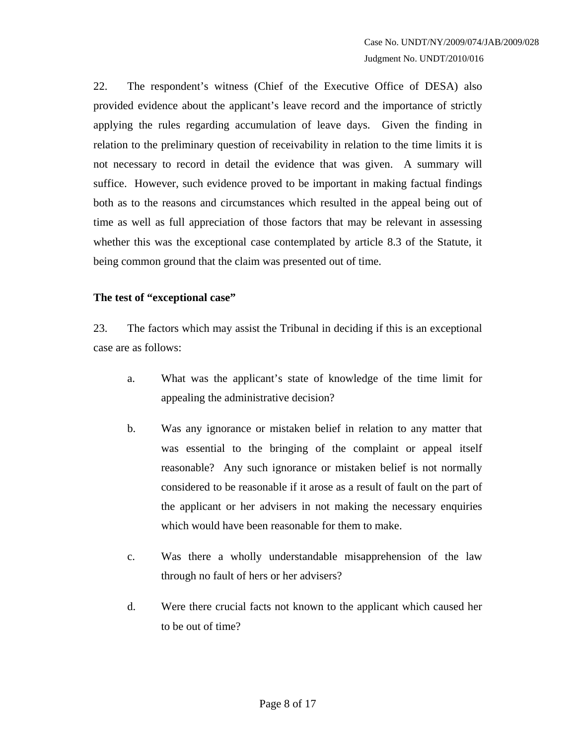22. The respondent's witness (Chief of the Executive Office of DESA) also provided evidence about the applicant's leave record and the importance of strictly applying the rules regarding accumulation of leave days. Given the finding in relation to the preliminary question of receivability in relation to the time limits it is not necessary to record in detail the evidence that was given. A summary will suffice. However, such evidence proved to be important in making factual findings both as to the reasons and circumstances which resulted in the appeal being out of time as well as full appreciation of those factors that may be relevant in assessing whether this was the exceptional case contemplated by article 8.3 of the Statute, it being common ground that the claim was presented out of time.

### **The test of "exceptional case"**

23. The factors which may assist the Tribunal in deciding if this is an exceptional case are as follows:

- a. What was the applicant's state of knowledge of the time limit for appealing the administrative decision?
- b. Was any ignorance or mistaken belief in relation to any matter that was essential to the bringing of the complaint or appeal itself reasonable? Any such ignorance or mistaken belief is not normally considered to be reasonable if it arose as a result of fault on the part of the applicant or her advisers in not making the necessary enquiries which would have been reasonable for them to make.
- c. Was there a wholly understandable misapprehension of the law through no fault of hers or her advisers?
- d. Were there crucial facts not known to the applicant which caused her to be out of time?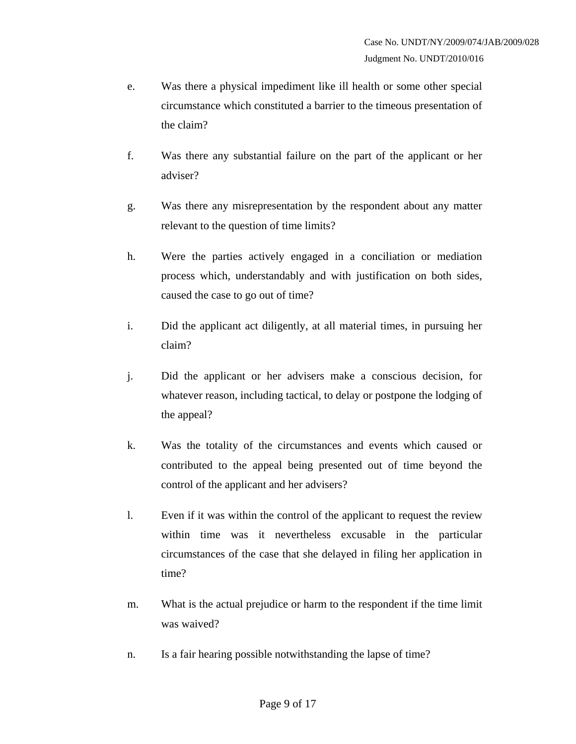- e. Was there a physical impediment like ill health or some other special circumstance which constituted a barrier to the timeous presentation of the claim?
- f. Was there any substantial failure on the part of the applicant or her adviser?
- g. Was there any misrepresentation by the respondent about any matter relevant to the question of time limits?
- h. Were the parties actively engaged in a conciliation or mediation process which, understandably and with justification on both sides, caused the case to go out of time?
- i. Did the applicant act diligently, at all material times, in pursuing her claim?
- j. Did the applicant or her advisers make a conscious decision, for whatever reason, including tactical, to delay or postpone the lodging of the appeal?
- k. Was the totality of the circumstances and events which caused or contributed to the appeal being presented out of time beyond the control of the applicant and her advisers?
- l. Even if it was within the control of the applicant to request the review within time was it nevertheless excusable in the particular circumstances of the case that she delayed in filing her application in time?
- m. What is the actual prejudice or harm to the respondent if the time limit was waived?
- n. Is a fair hearing possible notwithstanding the lapse of time?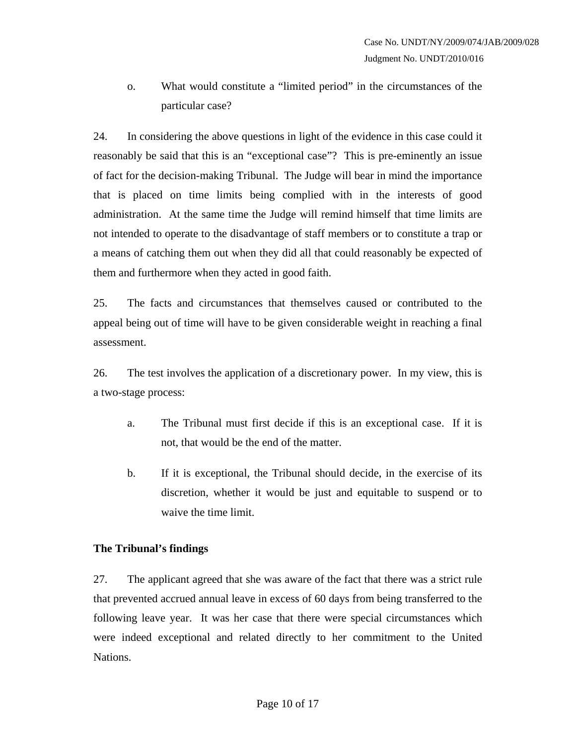o. What would constitute a "limited period" in the circumstances of the particular case?

24. In considering the above questions in light of the evidence in this case could it reasonably be said that this is an "exceptional case"? This is pre-eminently an issue of fact for the decision-making Tribunal. The Judge will bear in mind the importance that is placed on time limits being complied with in the interests of good administration. At the same time the Judge will remind himself that time limits are not intended to operate to the disadvantage of staff members or to constitute a trap or a means of catching them out when they did all that could reasonably be expected of them and furthermore when they acted in good faith.

25. The facts and circumstances that themselves caused or contributed to the appeal being out of time will have to be given considerable weight in reaching a final assessment.

26. The test involves the application of a discretionary power. In my view, this is a two-stage process:

- a. The Tribunal must first decide if this is an exceptional case. If it is not, that would be the end of the matter.
- b. If it is exceptional, the Tribunal should decide, in the exercise of its discretion, whether it would be just and equitable to suspend or to waive the time limit.

#### **The Tribunal's findings**

27. The applicant agreed that she was aware of the fact that there was a strict rule that prevented accrued annual leave in excess of 60 days from being transferred to the following leave year. It was her case that there were special circumstances which were indeed exceptional and related directly to her commitment to the United Nations.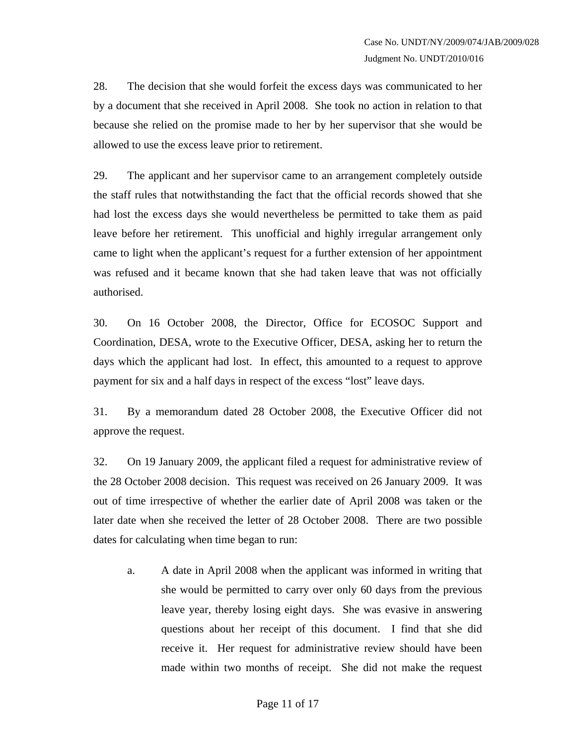28. The decision that she would forfeit the excess days was communicated to her by a document that she received in April 2008. She took no action in relation to that because she relied on the promise made to her by her supervisor that she would be allowed to use the excess leave prior to retirement.

29. The applicant and her supervisor came to an arrangement completely outside the staff rules that notwithstanding the fact that the official records showed that she had lost the excess days she would nevertheless be permitted to take them as paid leave before her retirement. This unofficial and highly irregular arrangement only came to light when the applicant's request for a further extension of her appointment was refused and it became known that she had taken leave that was not officially authorised.

30. On 16 October 2008, the Director, Office for ECOSOC Support and Coordination, DESA, wrote to the Executive Officer, DESA, asking her to return the days which the applicant had lost. In effect, this amounted to a request to approve payment for six and a half days in respect of the excess "lost" leave days.

31. By a memorandum dated 28 October 2008, the Executive Officer did not approve the request.

32. On 19 January 2009, the applicant filed a request for administrative review of the 28 October 2008 decision. This request was received on 26 January 2009. It was out of time irrespective of whether the earlier date of April 2008 was taken or the later date when she received the letter of 28 October 2008. There are two possible dates for calculating when time began to run:

a. A date in April 2008 when the applicant was informed in writing that she would be permitted to carry over only 60 days from the previous leave year, thereby losing eight days. She was evasive in answering questions about her receipt of this document. I find that she did receive it. Her request for administrative review should have been made within two months of receipt. She did not make the request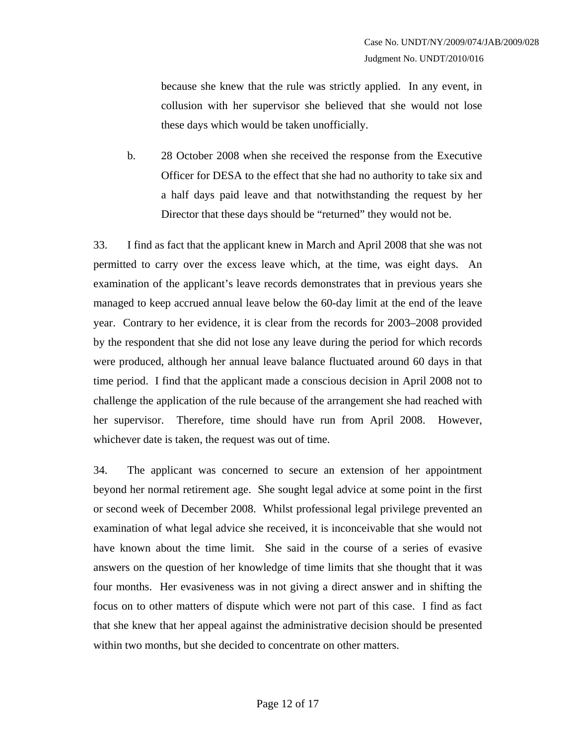because she knew that the rule was strictly applied. In any event, in collusion with her supervisor she believed that she would not lose these days which would be taken unofficially.

b. 28 October 2008 when she received the response from the Executive Officer for DESA to the effect that she had no authority to take six and a half days paid leave and that notwithstanding the request by her Director that these days should be "returned" they would not be.

33. I find as fact that the applicant knew in March and April 2008 that she was not permitted to carry over the excess leave which, at the time, was eight days. An examination of the applicant's leave records demonstrates that in previous years she managed to keep accrued annual leave below the 60-day limit at the end of the leave year. Contrary to her evidence, it is clear from the records for 2003–2008 provided by the respondent that she did not lose any leave during the period for which records were produced, although her annual leave balance fluctuated around 60 days in that time period. I find that the applicant made a conscious decision in April 2008 not to challenge the application of the rule because of the arrangement she had reached with her supervisor. Therefore, time should have run from April 2008. However, whichever date is taken, the request was out of time.

34. The applicant was concerned to secure an extension of her appointment beyond her normal retirement age. She sought legal advice at some point in the first or second week of December 2008. Whilst professional legal privilege prevented an examination of what legal advice she received, it is inconceivable that she would not have known about the time limit. She said in the course of a series of evasive answers on the question of her knowledge of time limits that she thought that it was four months. Her evasiveness was in not giving a direct answer and in shifting the focus on to other matters of dispute which were not part of this case. I find as fact that she knew that her appeal against the administrative decision should be presented within two months, but she decided to concentrate on other matters.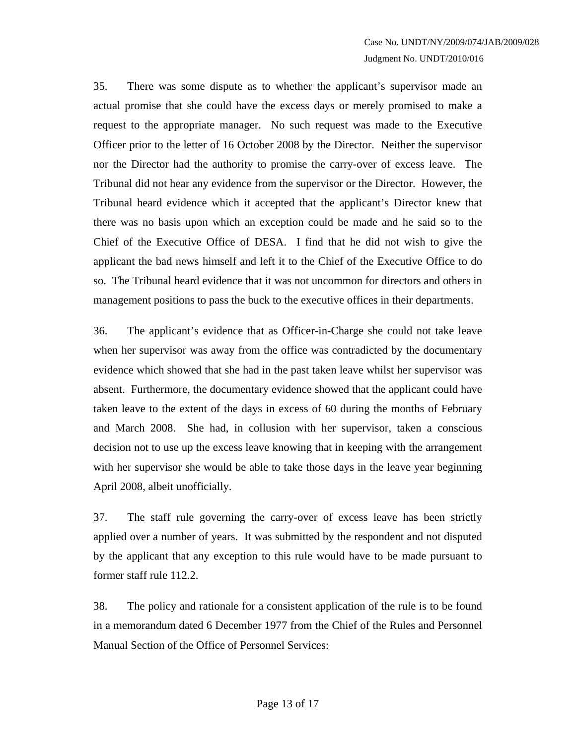35. There was some dispute as to whether the applicant's supervisor made an actual promise that she could have the excess days or merely promised to make a request to the appropriate manager. No such request was made to the Executive Officer prior to the letter of 16 October 2008 by the Director. Neither the supervisor nor the Director had the authority to promise the carry-over of excess leave. The Tribunal did not hear any evidence from the supervisor or the Director. However, the Tribunal heard evidence which it accepted that the applicant's Director knew that there was no basis upon which an exception could be made and he said so to the Chief of the Executive Office of DESA. I find that he did not wish to give the applicant the bad news himself and left it to the Chief of the Executive Office to do so. The Tribunal heard evidence that it was not uncommon for directors and others in management positions to pass the buck to the executive offices in their departments.

36. The applicant's evidence that as Officer-in-Charge she could not take leave when her supervisor was away from the office was contradicted by the documentary evidence which showed that she had in the past taken leave whilst her supervisor was absent. Furthermore, the documentary evidence showed that the applicant could have taken leave to the extent of the days in excess of 60 during the months of February and March 2008. She had, in collusion with her supervisor, taken a conscious decision not to use up the excess leave knowing that in keeping with the arrangement with her supervisor she would be able to take those days in the leave year beginning April 2008, albeit unofficially.

37. The staff rule governing the carry-over of excess leave has been strictly applied over a number of years. It was submitted by the respondent and not disputed by the applicant that any exception to this rule would have to be made pursuant to former staff rule 112.2.

38. The policy and rationale for a consistent application of the rule is to be found in a memorandum dated 6 December 1977 from the Chief of the Rules and Personnel Manual Section of the Office of Personnel Services: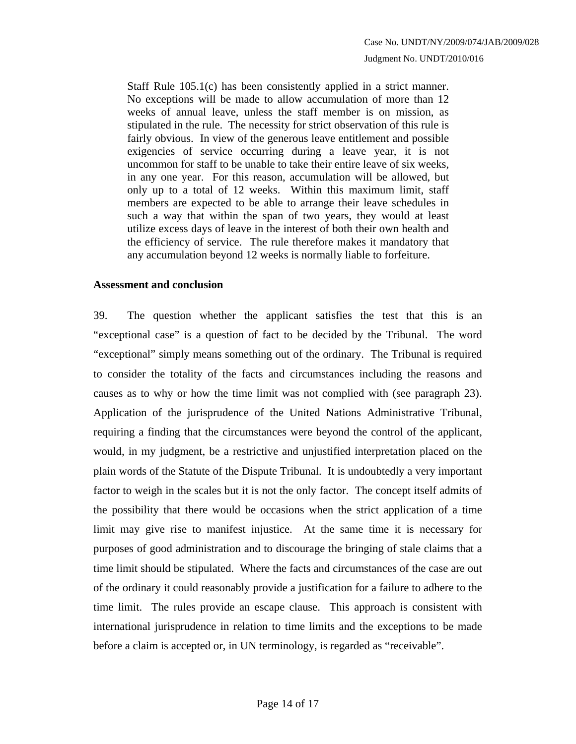Staff Rule 105.1(c) has been consistently applied in a strict manner. No exceptions will be made to allow accumulation of more than 12 weeks of annual leave, unless the staff member is on mission, as stipulated in the rule. The necessity for strict observation of this rule is fairly obvious. In view of the generous leave entitlement and possible exigencies of service occurring during a leave year, it is not uncommon for staff to be unable to take their entire leave of six weeks, in any one year. For this reason, accumulation will be allowed, but only up to a total of 12 weeks. Within this maximum limit, staff members are expected to be able to arrange their leave schedules in such a way that within the span of two years, they would at least utilize excess days of leave in the interest of both their own health and the efficiency of service. The rule therefore makes it mandatory that any accumulation beyond 12 weeks is normally liable to forfeiture.

#### **Assessment and conclusion**

39. The question whether the applicant satisfies the test that this is an "exceptional case" is a question of fact to be decided by the Tribunal. The word "exceptional" simply means something out of the ordinary. The Tribunal is required to consider the totality of the facts and circumstances including the reasons and causes as to why or how the time limit was not complied with (see paragraph 23). Application of the jurisprudence of the United Nations Administrative Tribunal, requiring a finding that the circumstances were beyond the control of the applicant, would, in my judgment, be a restrictive and unjustified interpretation placed on the plain words of the Statute of the Dispute Tribunal. It is undoubtedly a very important factor to weigh in the scales but it is not the only factor. The concept itself admits of the possibility that there would be occasions when the strict application of a time limit may give rise to manifest injustice. At the same time it is necessary for purposes of good administration and to discourage the bringing of stale claims that a time limit should be stipulated. Where the facts and circumstances of the case are out of the ordinary it could reasonably provide a justification for a failure to adhere to the time limit. The rules provide an escape clause. This approach is consistent with international jurisprudence in relation to time limits and the exceptions to be made before a claim is accepted or, in UN terminology, is regarded as "receivable".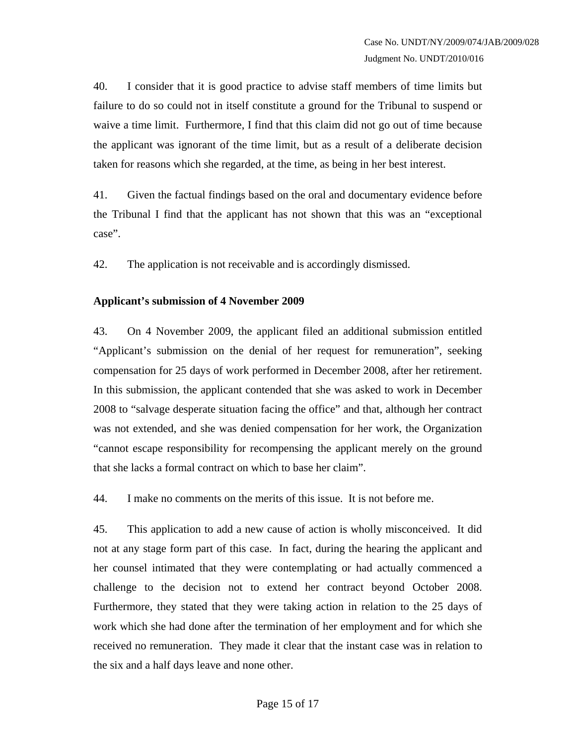40. I consider that it is good practice to advise staff members of time limits but failure to do so could not in itself constitute a ground for the Tribunal to suspend or waive a time limit. Furthermore, I find that this claim did not go out of time because the applicant was ignorant of the time limit, but as a result of a deliberate decision taken for reasons which she regarded, at the time, as being in her best interest.

41. Given the factual findings based on the oral and documentary evidence before the Tribunal I find that the applicant has not shown that this was an "exceptional case".

42. The application is not receivable and is accordingly dismissed.

#### **Applicant's submission of 4 November 2009**

43. On 4 November 2009, the applicant filed an additional submission entitled "Applicant's submission on the denial of her request for remuneration", seeking compensation for 25 days of work performed in December 2008, after her retirement. In this submission, the applicant contended that she was asked to work in December 2008 to "salvage desperate situation facing the office" and that, although her contract was not extended, and she was denied compensation for her work, the Organization "cannot escape responsibility for recompensing the applicant merely on the ground that she lacks a formal contract on which to base her claim".

44. I make no comments on the merits of this issue. It is not before me.

45. This application to add a new cause of action is wholly misconceived. It did not at any stage form part of this case. In fact, during the hearing the applicant and her counsel intimated that they were contemplating or had actually commenced a challenge to the decision not to extend her contract beyond October 2008. Furthermore, they stated that they were taking action in relation to the 25 days of work which she had done after the termination of her employment and for which she received no remuneration. They made it clear that the instant case was in relation to the six and a half days leave and none other.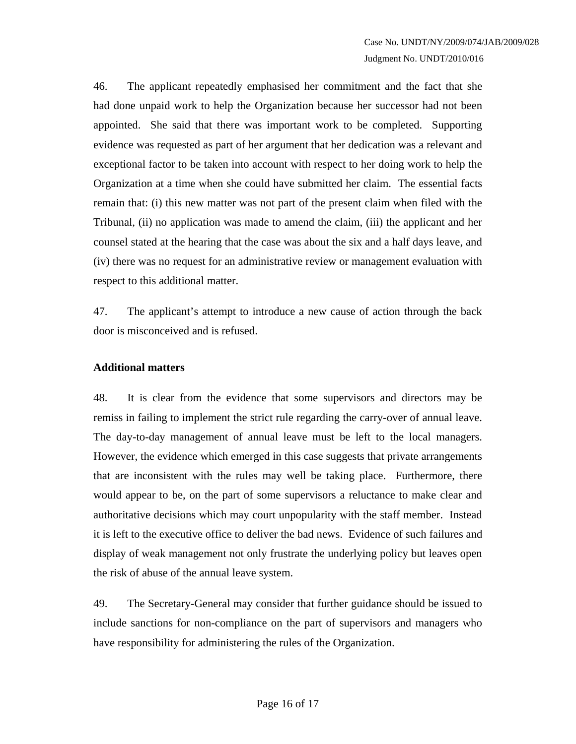46. The applicant repeatedly emphasised her commitment and the fact that she had done unpaid work to help the Organization because her successor had not been appointed. She said that there was important work to be completed. Supporting evidence was requested as part of her argument that her dedication was a relevant and exceptional factor to be taken into account with respect to her doing work to help the Organization at a time when she could have submitted her claim. The essential facts remain that: (i) this new matter was not part of the present claim when filed with the Tribunal, (ii) no application was made to amend the claim, (iii) the applicant and her counsel stated at the hearing that the case was about the six and a half days leave, and (iv) there was no request for an administrative review or management evaluation with respect to this additional matter.

47. The applicant's attempt to introduce a new cause of action through the back door is misconceived and is refused.

#### **Additional matters**

48. It is clear from the evidence that some supervisors and directors may be remiss in failing to implement the strict rule regarding the carry-over of annual leave. The day-to-day management of annual leave must be left to the local managers. However, the evidence which emerged in this case suggests that private arrangements that are inconsistent with the rules may well be taking place. Furthermore, there would appear to be, on the part of some supervisors a reluctance to make clear and authoritative decisions which may court unpopularity with the staff member. Instead it is left to the executive office to deliver the bad news. Evidence of such failures and display of weak management not only frustrate the underlying policy but leaves open the risk of abuse of the annual leave system.

49. The Secretary-General may consider that further guidance should be issued to include sanctions for non-compliance on the part of supervisors and managers who have responsibility for administering the rules of the Organization.